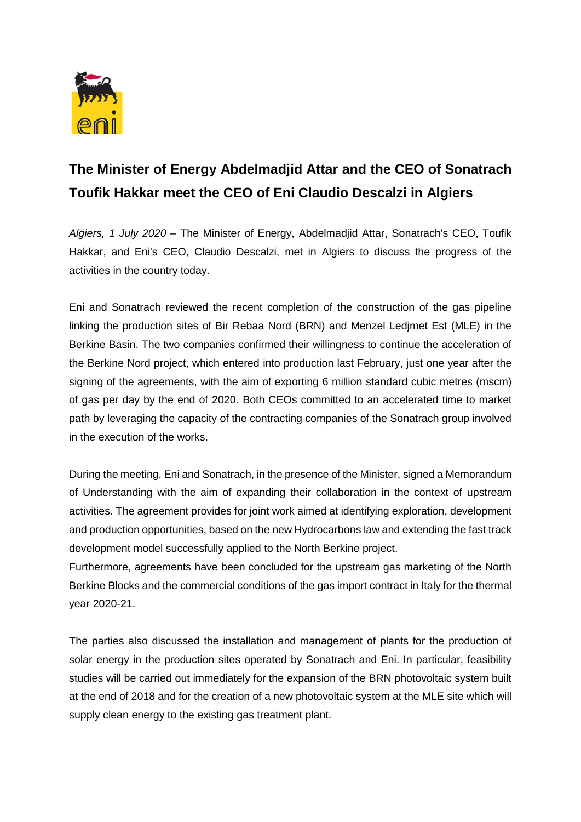

## **The Minister of Energy Abdelmadjid Attar and the CEO of Sonatrach Toufik Hakkar meet the CEO of Eni Claudio Descalzi in Algiers**

*Algiers, 1 July 2020 –* The Minister of Energy, Abdelmadjid Attar, Sonatrach's CEO, Toufik Hakkar, and Eni's CEO, Claudio Descalzi, met in Algiers to discuss the progress of the activities in the country today.

Eni and Sonatrach reviewed the recent completion of the construction of the gas pipeline linking the production sites of Bir Rebaa Nord (BRN) and Menzel Ledjmet Est (MLE) in the Berkine Basin. The two companies confirmed their willingness to continue the acceleration of the Berkine Nord project, which entered into production last February, just one year after the signing of the agreements, with the aim of exporting 6 million standard cubic metres (mscm) of gas per day by the end of 2020. Both CEOs committed to an accelerated time to market path by leveraging the capacity of the contracting companies of the Sonatrach group involved in the execution of the works.

During the meeting, Eni and Sonatrach, in the presence of the Minister, signed a Memorandum of Understanding with the aim of expanding their collaboration in the context of upstream activities. The agreement provides for joint work aimed at identifying exploration, development and production opportunities, based on the new Hydrocarbons law and extending the fast track development model successfully applied to the North Berkine project.

Furthermore, agreements have been concluded for the upstream gas marketing of the North Berkine Blocks and the commercial conditions of the gas import contract in Italy for the thermal year 2020-21.

The parties also discussed the installation and management of plants for the production of solar energy in the production sites operated by Sonatrach and Eni. In particular, feasibility studies will be carried out immediately for the expansion of the BRN photovoltaic system built at the end of 2018 and for the creation of a new photovoltaic system at the MLE site which will supply clean energy to the existing gas treatment plant.